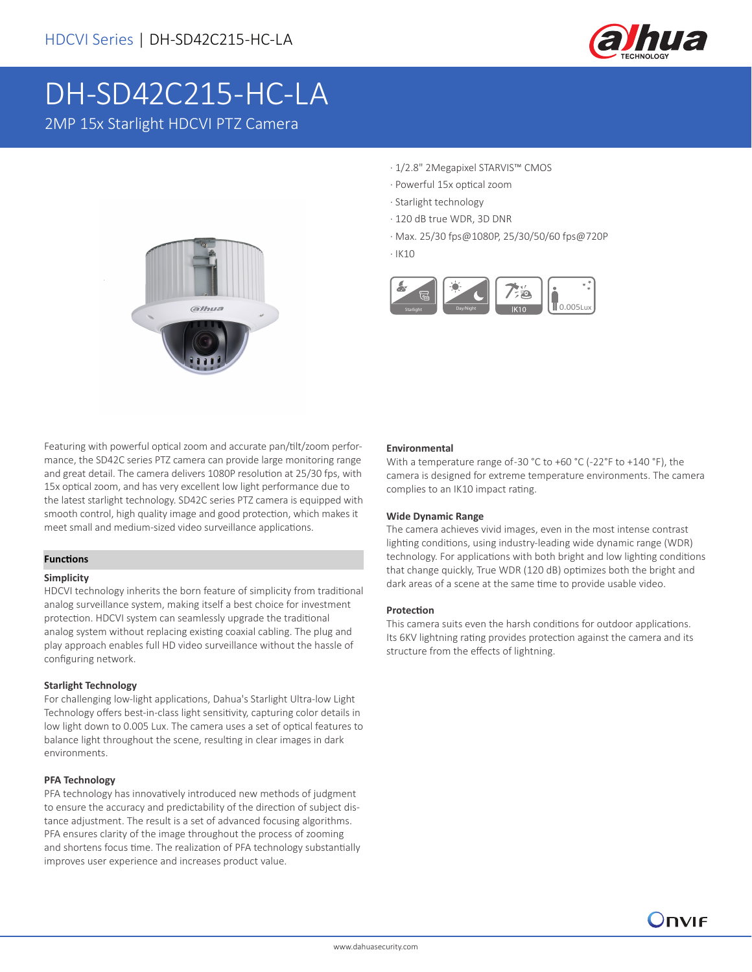

# DH-SD42C215-HC-LA 2MP 15x Starlight HDCVI PTZ Camera



- · 1/2.8" 2Megapixel STARVIS™ CMOS
- · Powerful 15x optical zoom
- · Starlight technology
- · 120 dB true WDR, 3D DNR
- · Max. 25/30 fps@1080P, 25/30/50/60 fps@720P
- · IK10



Featuring with powerful optical zoom and accurate pan/tilt/zoom performance, the SD42C series PTZ camera can provide large monitoring range and great detail. The camera delivers 1080P resolution at 25/30 fps, with 15x optical zoom, and has very excellent low light performance due to the latest starlight technology. SD42C series PTZ camera is equipped with smooth control, high quality image and good protection, which makes it meet small and medium-sized video surveillance applications.

### **Functions**

### **Simplicity**

HDCVI technology inherits the born feature of simplicity from traditional analog surveillance system, making itself a best choice for investment protection. HDCVI system can seamlessly upgrade the traditional analog system without replacing existing coaxial cabling. The plug and play approach enables full HD video surveillance without the hassle of configuring network.

### **Starlight Technology**

For challenging low-light applications, Dahua's Starlight Ultra-low Light Technology offers best-in-class light sensitivity, capturing color details in low light down to 0.005 Lux. The camera uses a set of optical features to balance light throughout the scene, resulting in clear images in dark environments.

### **PFA Technology**

PFA technology has innovatively introduced new methods of judgment to ensure the accuracy and predictability of the direction of subject distance adjustment. The result is a set of advanced focusing algorithms. PFA ensures clarity of the image throughout the process of zooming and shortens focus time. The realization of PFA technology substantially improves user experience and increases product value.

### **Environmental**

With a temperature range of -30 °C to +60 °C (-22°F to +140 °F), the camera is designed for extreme temperature environments. The camera complies to an IK10 impact rating.

### **Wide Dynamic Range**

The camera achieves vivid images, even in the most intense contrast lighting conditions, using industry-leading wide dynamic range (WDR) technology. For applications with both bright and low lighting conditions that change quickly, True WDR (120 dB) optimizes both the bright and dark areas of a scene at the same time to provide usable video.

### **Protection**

This camera suits even the harsh conditions for outdoor applications. Its 6KV lightning rating provides protection against the camera and its structure from the effects of lightning.

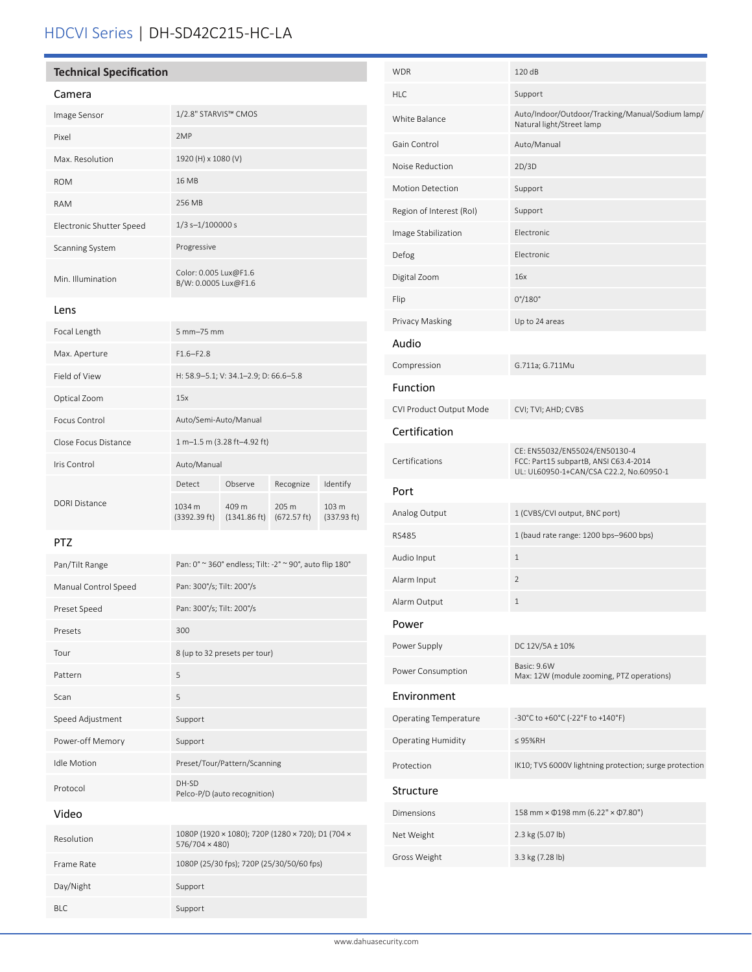## HDCVI Series | DH-SD42C215-HC-LA

## **Technical Specification**

| Camera                   |                                               |
|--------------------------|-----------------------------------------------|
| Image Sensor             | 1/2.8" STARVIS™ CMOS                          |
| Pixel                    | 2MP                                           |
| Max. Resolution          | 1920 (H) x 1080 (V)                           |
| <b>ROM</b>               | 16 MB                                         |
| <b>RAM</b>               | 256 MB                                        |
| Electronic Shutter Speed | $1/3$ s- $1/100000$ s                         |
| <b>Scanning System</b>   | Progressive                                   |
| Min. Illumination        | Color: 0.005 Lux@F1.6<br>B/W: 0.0005 Lux@F1.6 |

Lens

| Focal Length         | 5 mm-75 mm                            |                                 |                                          |                                 |
|----------------------|---------------------------------------|---------------------------------|------------------------------------------|---------------------------------|
| Max. Aperture        | $F1.6 - F2.8$                         |                                 |                                          |                                 |
| Field of View        | H: 58.9-5.1; V: 34.1-2.9; D: 66.6-5.8 |                                 |                                          |                                 |
| Optical Zoom         | 15x                                   |                                 |                                          |                                 |
| Focus Control        | Auto/Semi-Auto/Manual                 |                                 |                                          |                                 |
| Close Focus Distance | 1 m-1.5 m (3.28 ft-4.92 ft)           |                                 |                                          |                                 |
| Iris Control         | Auto/Manual                           |                                 |                                          |                                 |
|                      | Detect                                | Observe                         | Recognize                                | Identify                        |
| DORI Distance        | 1034 m<br>(3392.39 ft)                | 409 m<br>$(1341.86 \text{ ft})$ | $205 \text{ m}$<br>$(672.57 \text{ ft})$ | 103 <sub>m</sub><br>(337.93 ft) |

## PTZ

| Pan/Tilt Range       | Pan: 0° ~ 360° endless; Tilt: -2° ~ 90°, auto flip 180°             |
|----------------------|---------------------------------------------------------------------|
| Manual Control Speed | Pan: 300°/s; Tilt: 200°/s                                           |
| Preset Speed         | Pan: 300°/s; Tilt: 200°/s                                           |
| Presets              | 300                                                                 |
| Tour                 | 8 (up to 32 presets per tour)                                       |
| Pattern              | 5                                                                   |
| Scan                 | 5                                                                   |
| Speed Adjustment     | Support                                                             |
| Power-off Memory     | Support                                                             |
| <b>Idle Motion</b>   | Preset/Tour/Pattern/Scanning                                        |
| Protocol             | DH-SD<br>Pelco-P/D (auto recognition)                               |
| Video                |                                                                     |
| Resolution           | 1080P (1920 × 1080); 720P (1280 × 720); D1 (704 ×<br>576/704 × 480) |
| Frame Rate           | 1080P (25/30 fps); 720P (25/30/50/60 fps)                           |
| Day/Night            | Support                                                             |
| BI C                 | Support                                                             |

| <b>WDR</b>                   | 120 dB                                                                                                            |
|------------------------------|-------------------------------------------------------------------------------------------------------------------|
| <b>HLC</b>                   | Support                                                                                                           |
| <b>White Balance</b>         | Auto/Indoor/Outdoor/Tracking/Manual/Sodium lamp/<br>Natural light/Street lamp                                     |
| Gain Control                 | Auto/Manual                                                                                                       |
| Noise Reduction              | 2D/3D                                                                                                             |
| <b>Motion Detection</b>      | Support                                                                                                           |
| Region of Interest (RoI)     | Support                                                                                                           |
| Image Stabilization          | Electronic                                                                                                        |
| Defog                        | Electronic                                                                                                        |
| Digital Zoom                 | 16x                                                                                                               |
| Flip                         | $0^{\circ}/180^{\circ}$                                                                                           |
| Privacy Masking              | Up to 24 areas                                                                                                    |
| Audio                        |                                                                                                                   |
| Compression                  | G.711a; G.711Mu                                                                                                   |
| Function                     |                                                                                                                   |
| CVI Product Output Mode      | CVI; TVI; AHD; CVBS                                                                                               |
| Certification                |                                                                                                                   |
| Certifications               | CE: EN55032/EN55024/EN50130-4<br>FCC: Part15 subpartB, ANSI C63.4-2014<br>UL: UL60950-1+CAN/CSA C22.2, No.60950-1 |
| Port                         |                                                                                                                   |
| Analog Output                | 1 (CVBS/CVI output, BNC port)                                                                                     |
| <b>RS485</b>                 | 1 (baud rate range: 1200 bps-9600 bps)                                                                            |
| Audio Input                  | $\mathbf{1}$                                                                                                      |
| Alarm Input                  | $\overline{2}$                                                                                                    |
| Alarm Output                 | $\mathbf{1}$                                                                                                      |
| Power                        |                                                                                                                   |
| Power Supply                 | DC 12V/5A ± 10%                                                                                                   |
| Power Consumption            | Basic: 9.6W<br>Max: 12W (module zooming, PTZ operations)                                                          |
| Environment                  |                                                                                                                   |
| <b>Operating Temperature</b> | -30°C to +60°C (-22°F to +140°F)                                                                                  |
| <b>Operating Humidity</b>    | $\leq$ 95%RH                                                                                                      |
| Protection                   | IK10; TVS 6000V lightning protection; surge protection                                                            |
| Structure                    |                                                                                                                   |
| <b>Dimensions</b>            | 158 mm × 0198 mm (6.22" × 07.80")                                                                                 |
| Net Weight                   | 2.3 kg (5.07 lb)                                                                                                  |
| Gross Weight                 | 3.3 kg (7.28 lb)                                                                                                  |